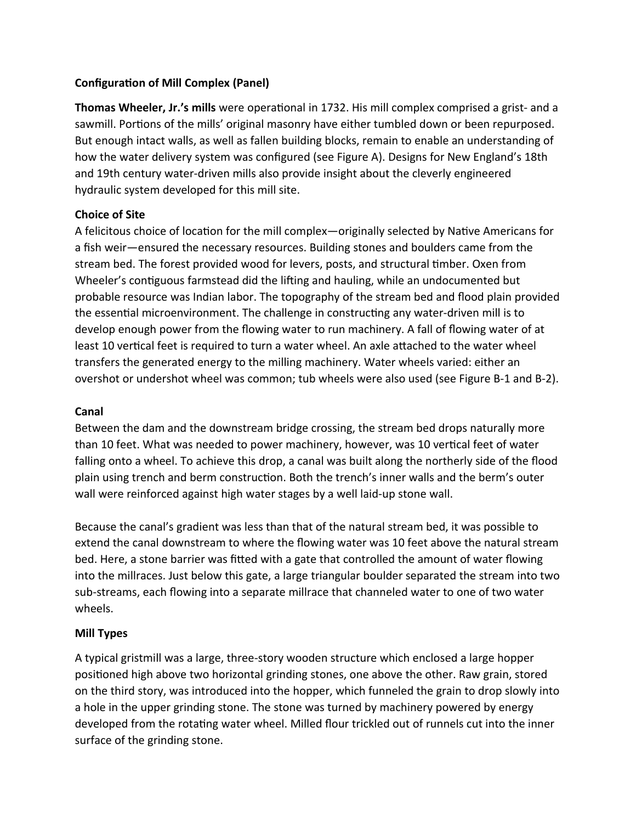## **Configuration of Mill Complex (Panel)**

**Thomas Wheeler, Jr.'s mills** were operational in 1732. His mill complex comprised a grist- and a sawmill. Portions of the mills' original masonry have either tumbled down or been repurposed. But enough intact walls, as well as fallen building blocks, remain to enable an understanding of how the water delivery system was configured (see Figure A). Designs for New England's 18th and 19th century water-driven mills also provide insight about the cleverly engineered hydraulic system developed for this mill site.

# **Choice of Site**

A felicitous choice of location for the mill complex—originally selected by Native Americans for a fish weir—ensured the necessary resources. Building stones and boulders came from the stream bed. The forest provided wood for levers, posts, and structural timber. Oxen from Wheeler's contiguous farmstead did the lifting and hauling, while an undocumented but probable resource was Indian labor. The topography of the stream bed and flood plain provided the essential microenvironment. The challenge in constructing any water-driven mill is to develop enough power from the flowing water to run machinery. A fall of flowing water of at least 10 vertical feet is required to turn a water wheel. An axle attached to the water wheel transfers the generated energy to the milling machinery. Water wheels varied: either an overshot or undershot wheel was common; tub wheels were also used (see Figure B-1 and B-2).

### **Canal**

Between the dam and the downstream bridge crossing, the stream bed drops naturally more than 10 feet. What was needed to power machinery, however, was 10 vertical feet of water falling onto a wheel. To achieve this drop, a canal was built along the northerly side of the flood plain using trench and berm construction. Both the trench's inner walls and the berm's outer wall were reinforced against high water stages by a well laid-up stone wall.

Because the canal's gradient was less than that of the natural stream bed, it was possible to extend the canal downstream to where the flowing water was 10 feet above the natural stream bed. Here, a stone barrier was fitted with a gate that controlled the amount of water flowing into the millraces. Just below this gate, a large triangular boulder separated the stream into two sub-streams, each flowing into a separate millrace that channeled water to one of two water wheels.

## **Mill Types**

A typical gristmill was a large, three-story wooden structure which enclosed a large hopper positioned high above two horizontal grinding stones, one above the other. Raw grain, stored on the third story, was introduced into the hopper, which funneled the grain to drop slowly into a hole in the upper grinding stone. The stone was turned by machinery powered by energy developed from the rotating water wheel. Milled flour trickled out of runnels cut into the inner surface of the grinding stone.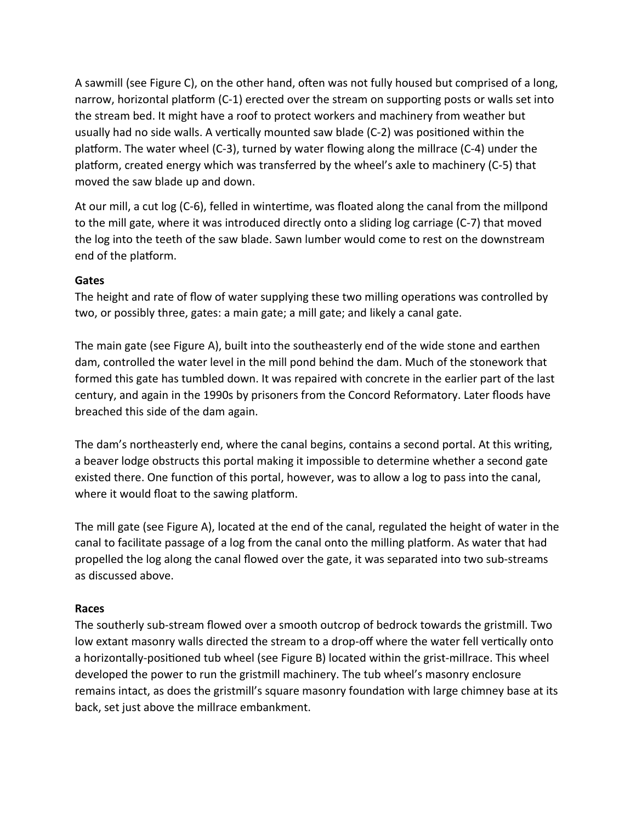A sawmill (see Figure C), on the other hand, often was not fully housed but comprised of a long, narrow, horizontal platform (C-1) erected over the stream on supporting posts or walls set into the stream bed. It might have a roof to protect workers and machinery from weather but usually had no side walls. A vertically mounted saw blade (C-2) was positioned within the platform. The water wheel (C-3), turned by water flowing along the millrace (C-4) under the platform, created energy which was transferred by the wheel's axle to machinery (C-5) that moved the saw blade up and down.

At our mill, a cut log (C-6), felled in wintertime, was floated along the canal from the millpond to the mill gate, where it was introduced directly onto a sliding log carriage (C-7) that moved the log into the teeth of the saw blade. Sawn lumber would come to rest on the downstream end of the platform.

#### **Gates**

The height and rate of flow of water supplying these two milling operations was controlled by two, or possibly three, gates: a main gate; a mill gate; and likely a canal gate.

The main gate (see Figure A), built into the southeasterly end of the wide stone and earthen dam, controlled the water level in the mill pond behind the dam. Much of the stonework that formed this gate has tumbled down. It was repaired with concrete in the earlier part of the last century, and again in the 1990s by prisoners from the Concord Reformatory. Later floods have breached this side of the dam again.

The dam's northeasterly end, where the canal begins, contains a second portal. At this writing, a beaver lodge obstructs this portal making it impossible to determine whether a second gate existed there. One function of this portal, however, was to allow a log to pass into the canal, where it would float to the sawing platform.

The mill gate (see Figure A), located at the end of the canal, regulated the height of water in the canal to facilitate passage of a log from the canal onto the milling platform. As water that had propelled the log along the canal flowed over the gate, it was separated into two sub-streams as discussed above.

#### **Races**

The southerly sub-stream flowed over a smooth outcrop of bedrock towards the gristmill. Two low extant masonry walls directed the stream to a drop-off where the water fell vertically onto a horizontally-positioned tub wheel (see Figure B) located within the grist-millrace. This wheel developed the power to run the gristmill machinery. The tub wheel's masonry enclosure remains intact, as does the gristmill's square masonry foundation with large chimney base at its back, set just above the millrace embankment.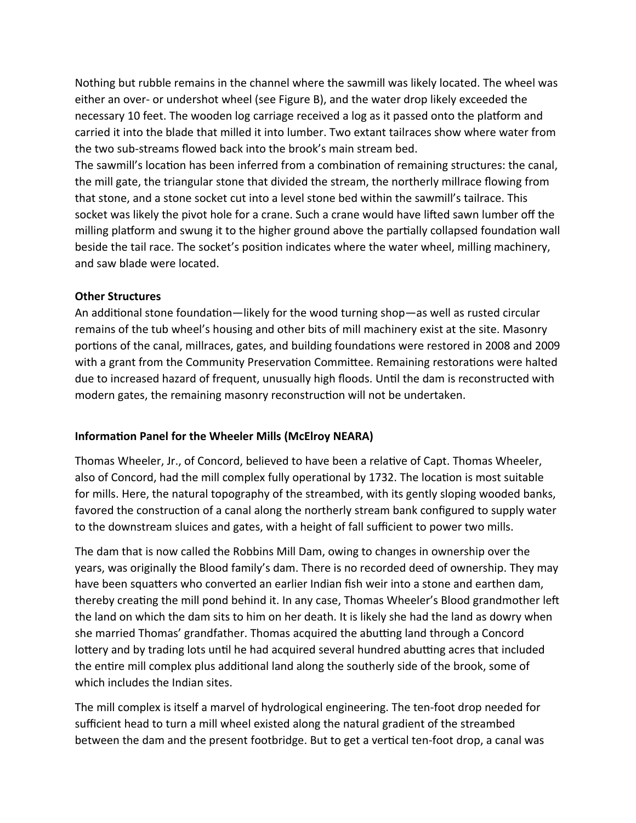Nothing but rubble remains in the channel where the sawmill was likely located. The wheel was either an over- or undershot wheel (see Figure B), and the water drop likely exceeded the necessary 10 feet. The wooden log carriage received a log as it passed onto the platform and carried it into the blade that milled it into lumber. Two extant tailraces show where water from the two sub-streams flowed back into the brook's main stream bed.

The sawmill's location has been inferred from a combination of remaining structures: the canal, the mill gate, the triangular stone that divided the stream, the northerly millrace flowing from that stone, and a stone socket cut into a level stone bed within the sawmill's tailrace. This socket was likely the pivot hole for a crane. Such a crane would have lifted sawn lumber off the milling platform and swung it to the higher ground above the partially collapsed foundation wall beside the tail race. The socket's position indicates where the water wheel, milling machinery, and saw blade were located.

#### **Other Structures**

An additional stone foundation—likely for the wood turning shop—as well as rusted circular remains of the tub wheel's housing and other bits of mill machinery exist at the site. Masonry portions of the canal, millraces, gates, and building foundations were restored in 2008 and 2009 with a grant from the Community Preservation Committee. Remaining restorations were halted due to increased hazard of frequent, unusually high floods. Until the dam is reconstructed with modern gates, the remaining masonry reconstruction will not be undertaken.

#### **Information Panel for the Wheeler Mills (McElroy NEARA)**

Thomas Wheeler, Jr., of Concord, believed to have been a relative of Capt. Thomas Wheeler, also of Concord, had the mill complex fully operational by 1732. The location is most suitable for mills. Here, the natural topography of the streambed, with its gently sloping wooded banks, favored the construction of a canal along the northerly stream bank configured to supply water to the downstream sluices and gates, with a height of fall sufficient to power two mills.

The dam that is now called the Robbins Mill Dam, owing to changes in ownership over the years, was originally the Blood family's dam. There is no recorded deed of ownership. They may have been squatters who converted an earlier Indian fish weir into a stone and earthen dam, thereby creating the mill pond behind it. In any case, Thomas Wheeler's Blood grandmother left the land on which the dam sits to him on her death. It is likely she had the land as dowry when she married Thomas' grandfather. Thomas acquired the abutting land through a Concord lottery and by trading lots until he had acquired several hundred abutting acres that included the entire mill complex plus additional land along the southerly side of the brook, some of which includes the Indian sites.

The mill complex is itself a marvel of hydrological engineering. The ten-foot drop needed for sufficient head to turn a mill wheel existed along the natural gradient of the streambed between the dam and the present footbridge. But to get a vertical ten-foot drop, a canal was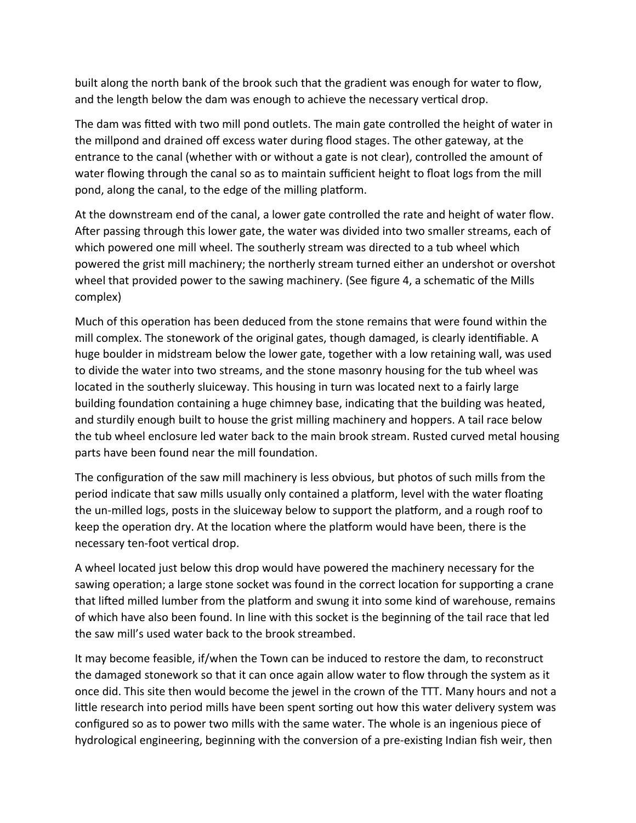built along the north bank of the brook such that the gradient was enough for water to flow, and the length below the dam was enough to achieve the necessary vertical drop.

The dam was fitted with two mill pond outlets. The main gate controlled the height of water in the millpond and drained off excess water during flood stages. The other gateway, at the entrance to the canal (whether with or without a gate is not clear), controlled the amount of water flowing through the canal so as to maintain sufficient height to float logs from the mill pond, along the canal, to the edge of the milling platform.

At the downstream end of the canal, a lower gate controlled the rate and height of water flow. After passing through this lower gate, the water was divided into two smaller streams, each of which powered one mill wheel. The southerly stream was directed to a tub wheel which powered the grist mill machinery; the northerly stream turned either an undershot or overshot wheel that provided power to the sawing machinery. (See figure 4, a schematic of the Mills complex)

Much of this operation has been deduced from the stone remains that were found within the mill complex. The stonework of the original gates, though damaged, is clearly identifiable. A huge boulder in midstream below the lower gate, together with a low retaining wall, was used to divide the water into two streams, and the stone masonry housing for the tub wheel was located in the southerly sluiceway. This housing in turn was located next to a fairly large building foundation containing a huge chimney base, indicating that the building was heated, and sturdily enough built to house the grist milling machinery and hoppers. A tail race below the tub wheel enclosure led water back to the main brook stream. Rusted curved metal housing parts have been found near the mill foundation.

The configuration of the saw mill machinery is less obvious, but photos of such mills from the period indicate that saw mills usually only contained a platform, level with the water floating the un-milled logs, posts in the sluiceway below to support the platform, and a rough roof to keep the operation dry. At the location where the platform would have been, there is the necessary ten-foot vertical drop.

A wheel located just below this drop would have powered the machinery necessary for the sawing operation; a large stone socket was found in the correct location for supporting a crane that lifted milled lumber from the platform and swung it into some kind of warehouse, remains of which have also been found. In line with this socket is the beginning of the tail race that led the saw mill's used water back to the brook streambed.

It may become feasible, if/when the Town can be induced to restore the dam, to reconstruct the damaged stonework so that it can once again allow water to flow through the system as it once did. This site then would become the jewel in the crown of the TTT. Many hours and not a little research into period mills have been spent sorting out how this water delivery system was configured so as to power two mills with the same water. The whole is an ingenious piece of hydrological engineering, beginning with the conversion of a pre-existing Indian fish weir, then